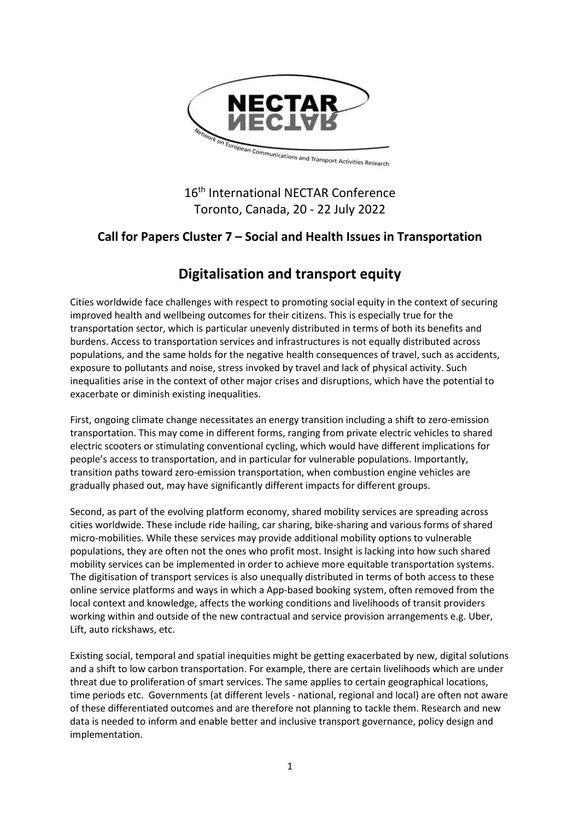

### 16<sup>th</sup> International NECTAR Conference Toronto, Canada, 20 - 22 July 2022

## **Call for Papers Cluster 7 – Social and Health Issues in Transportation**

# **Digitalisation and transport equity**

Cities worldwide face challenges with respect to promoting social equity in the context of securing improved health and wellbeing outcomes for their citizens. This is especially true for the transportation sector, which is particular unevenly distributed in terms of both its benefits and burdens. Access to transportation services and infrastructures is not equally distributed across populations, and the same holds for the negative health consequences of travel, such as accidents, exposure to pollutants and noise, stress invoked by travel and lack of physical activity. Such inequalities arise in the context of other major crises and disruptions, which have the potential to exacerbate or diminish existing inequalities.

First, ongoing climate change necessitates an energy transition including a shift to zero-emission transportation. This may come in different forms, ranging from private electric vehicles to shared electric scooters or stimulating conventional cycling, which would have different implications for people's access to transportation, and in particular for vulnerable populations. Importantly, transition paths toward zero-emission transportation, when combustion engine vehicles are gradually phased out, may have significantly different impacts for different groups.

Second, as part of the evolving platform economy, shared mobility services are spreading across cities worldwide. These include ride hailing, car sharing, bike-sharing and various forms of shared micro-mobilities. While these services may provide additional mobility options to vulnerable populations, they are often not the ones who profit most. Insight is lacking into how such shared mobility services can be implemented in order to achieve more equitable transportation systems. The digitisation of transport services is also unequally distributed in terms of both access to these online service platforms and ways in which a App-based booking system, often removed from the local context and knowledge, affects the working conditions and livelihoods of transit providers working within and outside of the new contractual and service provision arrangements e.g. Uber, Lift, auto rickshaws, etc.

Existing social, temporal and spatial inequities might be getting exacerbated by new, digital solutions and a shift to low carbon transportation. For example, there are certain livelihoods which are under threat due to proliferation of smart services. The same applies to certain geographical locations, time periods etc. Governments (at different levels - national, regional and local) are often not aware of these differentiated outcomes and are therefore not planning to tackle them. Research and new data is needed to inform and enable better and inclusive transport governance, policy design and implementation.